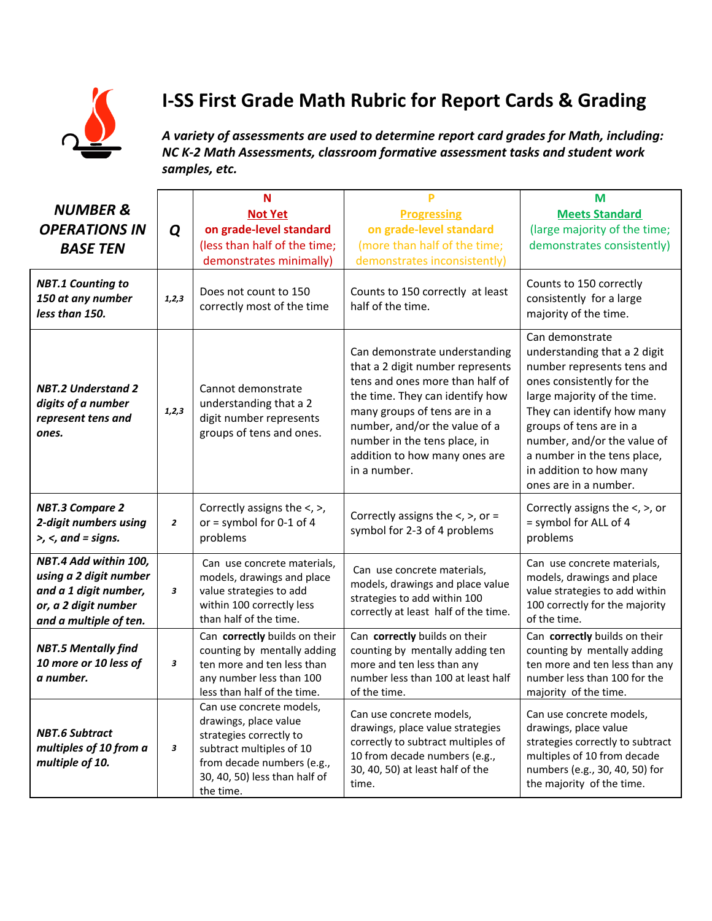

## **I-SS First Grade Math Rubric for Report Cards & Grading**

*A variety of assessments are used to determine report card grades for Math, including: NC K-2 Math Assessments, classroom formative assessment tasks and student work samples, etc.*

| <b>NUMBER &amp;</b><br><b>OPERATIONS IN</b><br><b>BASE TEN</b>                                                             | Q       | N<br><b>Not Yet</b><br>on grade-level standard<br>(less than half of the time;<br>demonstrates minimally)                                                                            | Þ<br><b>Progressing</b><br>on grade-level standard<br>(more than half of the time;<br>demonstrates inconsistently)                                                                                                                                                                        | M<br><b>Meets Standard</b><br>(large majority of the time;<br>demonstrates consistently)                                                                                                                                                                                                                             |
|----------------------------------------------------------------------------------------------------------------------------|---------|--------------------------------------------------------------------------------------------------------------------------------------------------------------------------------------|-------------------------------------------------------------------------------------------------------------------------------------------------------------------------------------------------------------------------------------------------------------------------------------------|----------------------------------------------------------------------------------------------------------------------------------------------------------------------------------------------------------------------------------------------------------------------------------------------------------------------|
| <b>NBT.1 Counting to</b><br>150 at any number<br>less than 150.                                                            | 1, 2, 3 | Does not count to 150<br>correctly most of the time                                                                                                                                  | Counts to 150 correctly at least<br>half of the time.                                                                                                                                                                                                                                     | Counts to 150 correctly<br>consistently for a large<br>majority of the time.                                                                                                                                                                                                                                         |
| <b>NBT.2 Understand 2</b><br>digits of a number<br>represent tens and<br>ones.                                             | 1, 2, 3 | Cannot demonstrate<br>understanding that a 2<br>digit number represents<br>groups of tens and ones.                                                                                  | Can demonstrate understanding<br>that a 2 digit number represents<br>tens and ones more than half of<br>the time. They can identify how<br>many groups of tens are in a<br>number, and/or the value of a<br>number in the tens place, in<br>addition to how many ones are<br>in a number. | Can demonstrate<br>understanding that a 2 digit<br>number represents tens and<br>ones consistently for the<br>large majority of the time.<br>They can identify how many<br>groups of tens are in a<br>number, and/or the value of<br>a number in the tens place,<br>in addition to how many<br>ones are in a number. |
| <b>NBT.3 Compare 2</b><br>2-digit numbers using<br>$>$ , $<$ , and = signs.                                                | 2       | Correctly assigns the $\lt$ , $\gt$ ,<br>or = symbol for $0-1$ of 4<br>problems                                                                                                      | Correctly assigns the $\lt$ , $\gt$ , or =<br>symbol for 2-3 of 4 problems                                                                                                                                                                                                                | Correctly assigns the $\lt$ , $\gt$ , or<br>= symbol for ALL of 4<br>problems                                                                                                                                                                                                                                        |
| NBT.4 Add within 100,<br>using a 2 digit number<br>and a 1 digit number,<br>or, a 2 digit number<br>and a multiple of ten. | 3       | Can use concrete materials,<br>models, drawings and place<br>value strategies to add<br>within 100 correctly less<br>than half of the time.                                          | Can use concrete materials,<br>models, drawings and place value<br>strategies to add within 100<br>correctly at least half of the time.                                                                                                                                                   | Can use concrete materials,<br>models, drawings and place<br>value strategies to add within<br>100 correctly for the majority<br>of the time.                                                                                                                                                                        |
| <b>NBT.5 Mentally find</b><br>10 more or 10 less of<br>a number.                                                           | 3       | Can correctly builds on their<br>counting by mentally adding<br>ten more and ten less than<br>any number less than 100<br>less than half of the time.                                | Can correctly builds on their<br>counting by mentally adding ten<br>more and ten less than any<br>number less than 100 at least half<br>of the time.                                                                                                                                      | Can correctly builds on their<br>counting by mentally adding<br>ten more and ten less than any<br>number less than 100 for the<br>majority of the time.                                                                                                                                                              |
| <b>NBT.6 Subtract</b><br>multiples of 10 from a<br>multiple of 10.                                                         | 3       | Can use concrete models,<br>drawings, place value<br>strategies correctly to<br>subtract multiples of 10<br>from decade numbers (e.g.,<br>30, 40, 50) less than half of<br>the time. | Can use concrete models,<br>drawings, place value strategies<br>correctly to subtract multiples of<br>10 from decade numbers (e.g.,<br>30, 40, 50) at least half of the<br>time.                                                                                                          | Can use concrete models,<br>drawings, place value<br>strategies correctly to subtract<br>multiples of 10 from decade<br>numbers (e.g., 30, 40, 50) for<br>the majority of the time.                                                                                                                                  |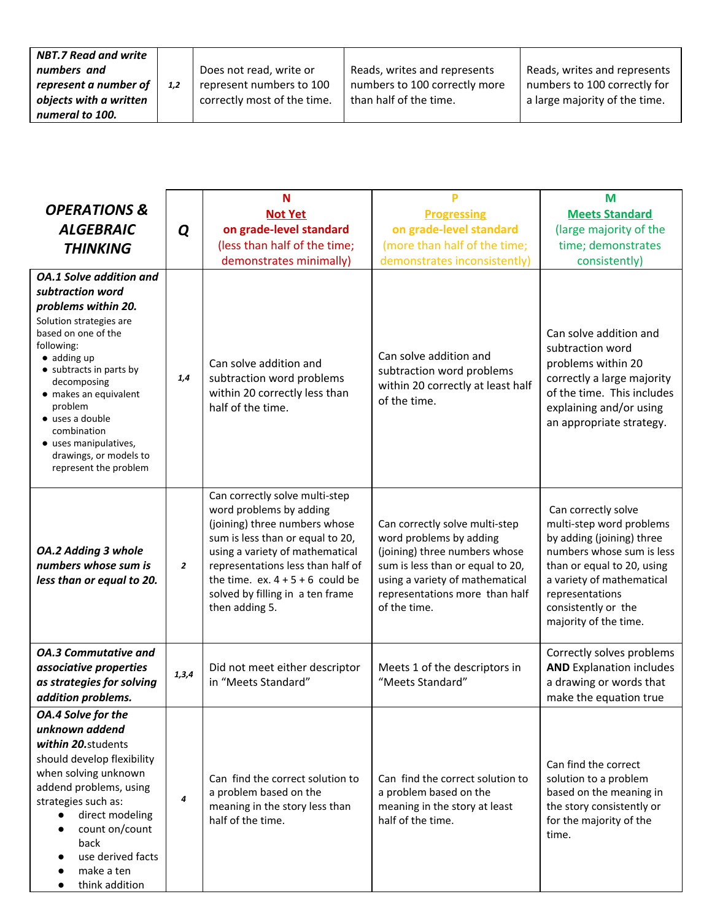| <b>NBT.7 Read and write</b> |     |                             |                               |                               |
|-----------------------------|-----|-----------------------------|-------------------------------|-------------------------------|
| numbers and                 |     | Does not read, write or     | Reads, writes and represents  | Reads, writes and represents  |
| represent a number of       | 1,2 | represent numbers to 100    | numbers to 100 correctly more | numbers to 100 correctly for  |
| objects with a written      |     | correctly most of the time. | than half of the time.        | a large majority of the time. |
| numeral to 100.             |     |                             |                               |                               |

| <b>OPERATIONS &amp;</b>                                                                                                                                                                                                                                                                                                                                              |                | N                                                                                                                                                                                                                                                                                                  | P                                                                                                                                                                                                                   | M                                                                                                                                                                                                                                       |
|----------------------------------------------------------------------------------------------------------------------------------------------------------------------------------------------------------------------------------------------------------------------------------------------------------------------------------------------------------------------|----------------|----------------------------------------------------------------------------------------------------------------------------------------------------------------------------------------------------------------------------------------------------------------------------------------------------|---------------------------------------------------------------------------------------------------------------------------------------------------------------------------------------------------------------------|-----------------------------------------------------------------------------------------------------------------------------------------------------------------------------------------------------------------------------------------|
|                                                                                                                                                                                                                                                                                                                                                                      |                | <b>Not Yet</b>                                                                                                                                                                                                                                                                                     | <b>Progressing</b>                                                                                                                                                                                                  | <b>Meets Standard</b>                                                                                                                                                                                                                   |
| <b>ALGEBRAIC</b>                                                                                                                                                                                                                                                                                                                                                     | Q              | on grade-level standard                                                                                                                                                                                                                                                                            | on grade-level standard                                                                                                                                                                                             | (large majority of the                                                                                                                                                                                                                  |
| <b>THINKING</b>                                                                                                                                                                                                                                                                                                                                                      |                | (less than half of the time;                                                                                                                                                                                                                                                                       | (more than half of the time;                                                                                                                                                                                        | time; demonstrates                                                                                                                                                                                                                      |
| <b>OA.1 Solve addition and</b><br>subtraction word<br>problems within 20.<br>Solution strategies are<br>based on one of the<br>following:<br>$\bullet$ adding up<br>• subtracts in parts by<br>decomposing<br>· makes an equivalent<br>problem<br>$\bullet$ uses a double<br>combination<br>· uses manipulatives,<br>drawings, or models to<br>represent the problem | 1,4            | demonstrates minimally)<br>Can solve addition and<br>subtraction word problems<br>within 20 correctly less than<br>half of the time.                                                                                                                                                               | demonstrates inconsistently)<br>Can solve addition and<br>subtraction word problems<br>within 20 correctly at least half<br>of the time.                                                                            | consistently)<br>Can solve addition and<br>subtraction word<br>problems within 20<br>correctly a large majority<br>of the time. This includes<br>explaining and/or using<br>an appropriate strategy.                                    |
| OA.2 Adding 3 whole<br>numbers whose sum is<br>less than or equal to 20.                                                                                                                                                                                                                                                                                             | $\overline{2}$ | Can correctly solve multi-step<br>word problems by adding<br>(joining) three numbers whose<br>sum is less than or equal to 20,<br>using a variety of mathematical<br>representations less than half of<br>the time. ex. $4 + 5 + 6$ could be<br>solved by filling in a ten frame<br>then adding 5. | Can correctly solve multi-step<br>word problems by adding<br>(joining) three numbers whose<br>sum is less than or equal to 20,<br>using a variety of mathematical<br>representations more than half<br>of the time. | Can correctly solve<br>multi-step word problems<br>by adding (joining) three<br>numbers whose sum is less<br>than or equal to 20, using<br>a variety of mathematical<br>representations<br>consistently or the<br>majority of the time. |
| <b>OA.3 Commutative and</b><br>associative properties<br>as strategies for solving<br>addition problems.                                                                                                                                                                                                                                                             | 1,3,4          | Did not meet either descriptor<br>in "Meets Standard"                                                                                                                                                                                                                                              | Meets 1 of the descriptors in<br>"Meets Standard"                                                                                                                                                                   | Correctly solves problems<br><b>AND Explanation includes</b><br>a drawing or words that<br>make the equation true                                                                                                                       |
| OA.4 Solve for the<br>unknown addend<br>within 20.students<br>should develop flexibility<br>when solving unknown<br>addend problems, using<br>strategies such as:<br>direct modeling<br>$\bullet$<br>count on/count<br>$\bullet$<br>back<br>use derived facts<br>make a ten<br>think addition                                                                        | 4              | Can find the correct solution to<br>a problem based on the<br>meaning in the story less than<br>half of the time.                                                                                                                                                                                  | Can find the correct solution to<br>a problem based on the<br>meaning in the story at least<br>half of the time.                                                                                                    | Can find the correct<br>solution to a problem<br>based on the meaning in<br>the story consistently or<br>for the majority of the<br>time.                                                                                               |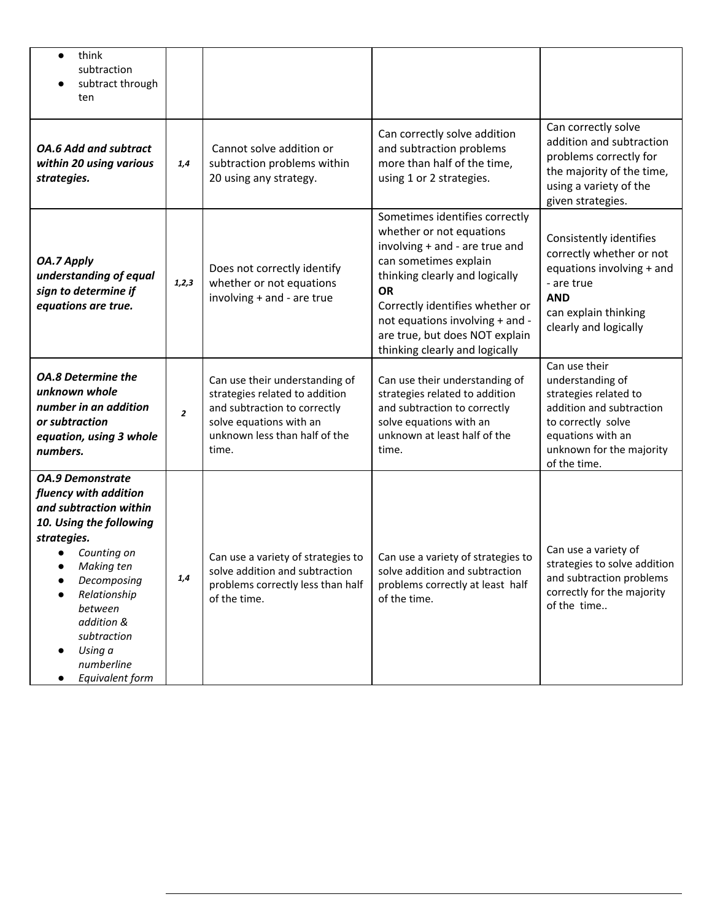| think<br>$\bullet$<br>subtraction<br>subtract through<br>ten                                                                                                                                                                                                                                        |                |                                                                                                                                                                       |                                                                                                                                                                                                                                                                                                                |                                                                                                                                                                               |
|-----------------------------------------------------------------------------------------------------------------------------------------------------------------------------------------------------------------------------------------------------------------------------------------------------|----------------|-----------------------------------------------------------------------------------------------------------------------------------------------------------------------|----------------------------------------------------------------------------------------------------------------------------------------------------------------------------------------------------------------------------------------------------------------------------------------------------------------|-------------------------------------------------------------------------------------------------------------------------------------------------------------------------------|
| <b>OA.6 Add and subtract</b><br>within 20 using various<br>strategies.                                                                                                                                                                                                                              | 1,4            | Cannot solve addition or<br>subtraction problems within<br>20 using any strategy.                                                                                     | Can correctly solve addition<br>and subtraction problems<br>more than half of the time,<br>using 1 or 2 strategies.                                                                                                                                                                                            | Can correctly solve<br>addition and subtraction<br>problems correctly for<br>the majority of the time,<br>using a variety of the<br>given strategies.                         |
| OA.7 Apply<br>understanding of equal<br>sign to determine if<br>equations are true.                                                                                                                                                                                                                 | 1, 2, 3        | Does not correctly identify<br>whether or not equations<br>involving + and - are true                                                                                 | Sometimes identifies correctly<br>whether or not equations<br>involving + and - are true and<br>can sometimes explain<br>thinking clearly and logically<br><b>OR</b><br>Correctly identifies whether or<br>not equations involving + and -<br>are true, but does NOT explain<br>thinking clearly and logically | Consistently identifies<br>correctly whether or not<br>equations involving + and<br>- are true<br><b>AND</b><br>can explain thinking<br>clearly and logically                 |
| <b>OA.8 Determine the</b><br>unknown whole<br>number in an addition<br>or subtraction<br>equation, using 3 whole<br>numbers.                                                                                                                                                                        | $\overline{z}$ | Can use their understanding of<br>strategies related to addition<br>and subtraction to correctly<br>solve equations with an<br>unknown less than half of the<br>time. | Can use their understanding of<br>strategies related to addition<br>and subtraction to correctly<br>solve equations with an<br>unknown at least half of the<br>time.                                                                                                                                           | Can use their<br>understanding of<br>strategies related to<br>addition and subtraction<br>to correctly solve<br>equations with an<br>unknown for the majority<br>of the time. |
| <b>OA.9 Demonstrate</b><br>fluency with addition<br>and subtraction within<br>10. Using the following<br>strategies.<br>Counting on<br>Making ten<br>Decomposing<br>$\bullet$<br>Relationship<br>between<br>addition &<br>subtraction<br>Using a<br>$\bullet$<br>numberline<br>Equivalent form<br>٠ | 1,4            | Can use a variety of strategies to<br>solve addition and subtraction<br>problems correctly less than half<br>of the time.                                             | Can use a variety of strategies to<br>solve addition and subtraction<br>problems correctly at least half<br>of the time.                                                                                                                                                                                       | Can use a variety of<br>strategies to solve addition<br>and subtraction problems<br>correctly for the majority<br>of the time                                                 |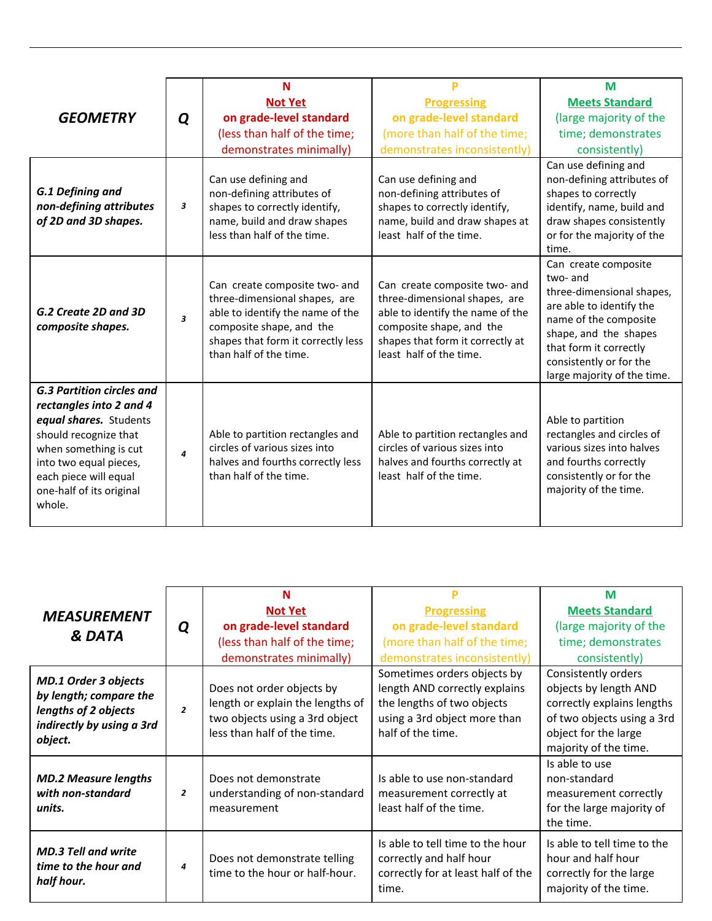|                                                                                                                                                                                                                                  |                         | N                                                                                                                                                                                              |                                                                                                                                                                                               | M                                                                                                                                                                                                                               |
|----------------------------------------------------------------------------------------------------------------------------------------------------------------------------------------------------------------------------------|-------------------------|------------------------------------------------------------------------------------------------------------------------------------------------------------------------------------------------|-----------------------------------------------------------------------------------------------------------------------------------------------------------------------------------------------|---------------------------------------------------------------------------------------------------------------------------------------------------------------------------------------------------------------------------------|
|                                                                                                                                                                                                                                  |                         | <b>Not Yet</b>                                                                                                                                                                                 | <b>Progressing</b>                                                                                                                                                                            | <b>Meets Standard</b>                                                                                                                                                                                                           |
| <b>GEOMETRY</b>                                                                                                                                                                                                                  | Q                       | on grade-level standard                                                                                                                                                                        | on grade-level standard                                                                                                                                                                       | (large majority of the                                                                                                                                                                                                          |
|                                                                                                                                                                                                                                  |                         | (less than half of the time;                                                                                                                                                                   | (more than half of the time;                                                                                                                                                                  | time; demonstrates                                                                                                                                                                                                              |
|                                                                                                                                                                                                                                  |                         | demonstrates minimally)                                                                                                                                                                        | demonstrates inconsistently)                                                                                                                                                                  | consistently)                                                                                                                                                                                                                   |
| G.1 Defining and<br>non-defining attributes<br>of 2D and 3D shapes.                                                                                                                                                              | 3                       | Can use defining and<br>non-defining attributes of<br>shapes to correctly identify,<br>name, build and draw shapes<br>less than half of the time.                                              | Can use defining and<br>non-defining attributes of<br>shapes to correctly identify,<br>name, build and draw shapes at<br>least half of the time.                                              | Can use defining and<br>non-defining attributes of<br>shapes to correctly<br>identify, name, build and<br>draw shapes consistently<br>or for the majority of the<br>time.                                                       |
| G.2 Create 2D and 3D<br>composite shapes.                                                                                                                                                                                        | $\overline{\mathbf{3}}$ | Can create composite two- and<br>three-dimensional shapes, are<br>able to identify the name of the<br>composite shape, and the<br>shapes that form it correctly less<br>than half of the time. | Can create composite two- and<br>three-dimensional shapes, are<br>able to identify the name of the<br>composite shape, and the<br>shapes that form it correctly at<br>least half of the time. | Can create composite<br>two- and<br>three-dimensional shapes,<br>are able to identify the<br>name of the composite<br>shape, and the shapes<br>that form it correctly<br>consistently or for the<br>large majority of the time. |
| <b>G.3 Partition circles and</b><br>rectangles into 2 and 4<br>equal shares. Students<br>should recognize that<br>when something is cut<br>into two equal pieces,<br>each piece will equal<br>one-half of its original<br>whole. | $\boldsymbol{4}$        | Able to partition rectangles and<br>circles of various sizes into<br>halves and fourths correctly less<br>than half of the time.                                                               | Able to partition rectangles and<br>circles of various sizes into<br>halves and fourths correctly at<br>least half of the time.                                                               | Able to partition<br>rectangles and circles of<br>various sizes into halves<br>and fourths correctly<br>consistently or for the<br>majority of the time.                                                                        |

| <b>MEASUREMENT</b><br><b>&amp; DATA</b>                                                                               | Q              | N                                                                                                                              |                                                                                                                                                 | M                                                                                                                                                         |
|-----------------------------------------------------------------------------------------------------------------------|----------------|--------------------------------------------------------------------------------------------------------------------------------|-------------------------------------------------------------------------------------------------------------------------------------------------|-----------------------------------------------------------------------------------------------------------------------------------------------------------|
|                                                                                                                       |                | <b>Not Yet</b>                                                                                                                 | <b>Progressing</b>                                                                                                                              | <b>Meets Standard</b>                                                                                                                                     |
|                                                                                                                       |                | on grade-level standard                                                                                                        | on grade-level standard                                                                                                                         | (large majority of the                                                                                                                                    |
|                                                                                                                       |                | (less than half of the time;                                                                                                   | (more than half of the time;                                                                                                                    | time; demonstrates                                                                                                                                        |
|                                                                                                                       |                | demonstrates minimally)                                                                                                        | demonstrates inconsistently)                                                                                                                    | consistently)                                                                                                                                             |
| <b>MD.1 Order 3 objects</b><br>by length; compare the<br>lengths of 2 objects<br>indirectly by using a 3rd<br>object. | $\overline{2}$ | Does not order objects by<br>length or explain the lengths of<br>two objects using a 3rd object<br>less than half of the time. | Sometimes orders objects by<br>length AND correctly explains<br>the lengths of two objects<br>using a 3rd object more than<br>half of the time. | Consistently orders<br>objects by length AND<br>correctly explains lengths<br>of two objects using a 3rd<br>object for the large<br>majority of the time. |
| <b>MD.2 Measure lengths</b><br>with non-standard<br>units.                                                            | $\overline{2}$ | Does not demonstrate<br>understanding of non-standard<br>measurement                                                           | Is able to use non-standard<br>measurement correctly at<br>least half of the time.                                                              | Is able to use<br>non-standard<br>measurement correctly<br>for the large majority of<br>the time.                                                         |
| <b>MD.3 Tell and write</b><br>time to the hour and<br>half hour.                                                      | 4              | Does not demonstrate telling<br>time to the hour or half-hour.                                                                 | Is able to tell time to the hour<br>correctly and half hour<br>correctly for at least half of the<br>time.                                      | Is able to tell time to the<br>hour and half hour<br>correctly for the large<br>majority of the time.                                                     |